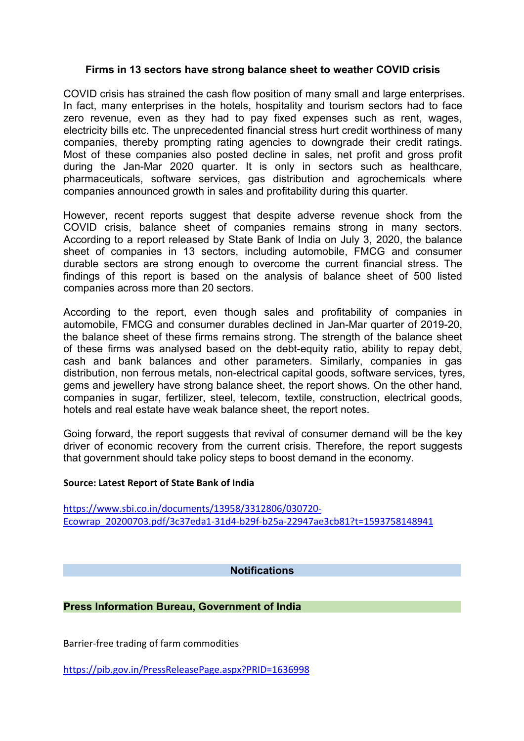# **Firms in 13 sectors have strong balance sheet to weather COVID crisis**

COVID crisis has strained the cash flow position of many small and large enterprises. In fact, many enterprises in the hotels, hospitality and tourism sectors had to face zero revenue, even as they had to pay fixed expenses such as rent, wages, electricity bills etc. The unprecedented financial stress hurt credit worthiness of many companies, thereby prompting rating agencies to downgrade their credit ratings. Most of these companies also posted decline in sales, net profit and gross profit during the Jan-Mar 2020 quarter. It is only in sectors such as healthcare, pharmaceuticals, software services, gas distribution and agrochemicals where companies announced growth in sales and profitability during this quarter.

However, recent reports suggest that despite adverse revenue shock from the COVID crisis, balance sheet of companies remains strong in many sectors.<br>According to a report released by State Bank of India on July 3, 2020, the balance sheet of companies in 13 sectors, including automobile, FMCG and consumer durable sectors are strong enough to overcome the current financial stress. The findings of this report is based on the analysis of balance sheet of 500 listed companies across more than 20 sectors.

According to the report, even though sales and profitability of companies in automobile, FMCG and consumer durables declined in Jan-Mar quarter of 2019-20, the balance sheet of these firms remains strong. The strength of the balance sheet of these firms was analysed based on the debt-equity ratio, ability to repay debt, cash and bank balances and other parameters. Similarly, companies in gas distribution, non ferrous metals, non-electrical capital goods, software services, tyres, gems and jewellery have strong balance sheet, the report shows. On the other hand, companies in sugar, fertilizer, steel, telecom, textile, construction, electrical goods, hotels and real estate have weak balance sheet, the report notes.

Going forward, the report suggests that revival of consumer demand will be the key driver of economic recovery from the current crisis. Therefore, the report suggests that government should take policy steps to boost demand in the economy.

### **Source: Latest Report of State Bank of India**

[https://www.sbi.co.in/documents/13958/3312806/030720-](https://www.sbi.co.in/documents/13958/3312806/030720-Ecowrap_20200703.pdf/3c37eda1-31d4-b29f-b25a-22947ae3cb81?t=1593758148941) Ecowrap\_20200703.pdf/3c37eda1-31d4-b29f-b25a-22947ae3cb81?t=1593758148941

### **Notifications**

# **Press Information Bureau, Government of India**

Barrier-free trading of farm commodities

<https://pib.gov.in/PressReleasePage.aspx?PRID=1636998>